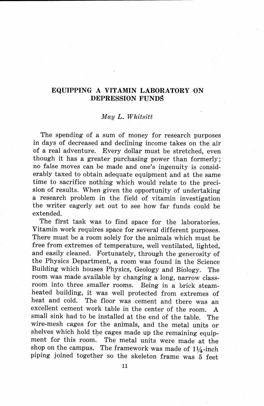## **EQUIPPING A VITAMIN LABORATORY ON DEPRESSION FUNDS**

## *May L. Whitsitt*

The spending of a sum of money for research purposes in days of decreased and declining income takes on the air of a real adventure. Every dollar must be stretched, even though it has a greater purchasing power than formerly; no false moves can be made and one's ingenuity is considerably taxed to obtain adequate equipment and at the same time to sacrifice nothing which would relate to the precision of results. When given the opportunity of undertaking a research problem in the field of vitamin investigation the writer eagerly set out to see how far funds could be extended.

The first task was to find space for the laboratories. Vitamin work requires space for several different purposes. There must be a room solely for the animals which must be free from extremes of temperature, well ventilated, lighted, and easily cleaned. Fortunately, through the generosity of the Physics Department, a room was found in the Science Building which houses Physics, Geology and Biology. The room was made available by changing a long, narrow classroom into three smaller rooms. Being in a brick steamheated building, it was well protected from extremes of heat and cold. The floor was cement and there was an excellent cement work table in the center of the room. A small sink had to be installed at the end of the table. The wire-mesh cages for the animals, and the metal units or shelves which hold the cages made up the remaining equipment for this room. The metal units were made at the shop on the campus. The framework was made of  $1\frac{1}{4}$ -inch piping joined together so the skeleton frame was 5 feet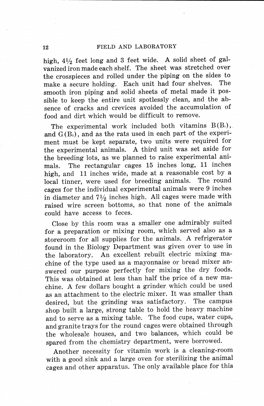## **12** FIELD AND LABORATORY

high,  $4\frac{1}{2}$  feet long and 3 feet wide. A solid sheet of galvanized iron made each shelf. The sheet was stretched over the crosspieces and rolled under the piping on the sides to<br>make a secure holding. Each unit had four shelves. The make a secure holding. Each unit had four shelves. smooth iron piping and. solid sheets of metal made it possible to keep the entire unit spotlessly clean; and the absence of cracks and crevices avoided the accumulation of food and dirt which would be difficult to remove.

The experimental work included both vitamins  $B(B_1)$ , and  $G(B_2)$ , and as the rats used in each part of the experi-.ment must be kept separate, two units were required for the experimental animals. A third unit was set aside for the breeding lots, as we planned to raise experimental animals. The rectangular cages 15 inches long, 11 inches high, and 11 inches wide, made at a reasonable cost by a local tinner were used for breeding animals. The round local tinner, were used for breeding animals. cages for the individual experimental animals were 9 inches in diameter and  $7\frac{1}{2}$  inches high. All cages were made with raised wire screen ·bottoms, so that none of the animals could have access to feces.

Close by this room was a smaller one admirably suited for a preparation or mixing room, which served also as a storeroom for all supplies for the animals. A refrigerator found in the Biology Department was given over to use in the laboratory. An excellent rebuilt electric mixing machine of the type used as a mayonnaise or bread mixer answered our purpose perfectly for mixing the dry foods. This was obtained at less than half the price of a new machine. A few dollars bought a grinder which could be used as an attachment to the electric mixer. It was smaller than desired, but the grinding was satisfactory. The campus shop built a large, strong table to hold the heavy machine and to serve as a mixing table. The food cups, water cups, and granite trays for the round cages were obtained through the wholesale houses, and two balances, which could be spared from the chemistry department, were borrowed.

Another necessity for vitamin work is a cleaning-room with a good sink and a large oven for sterilizing the animal cages and other apparatus. The only available place for this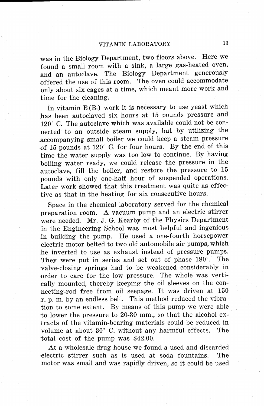was in the Biology Department, two floors above. Here we found a small room with a sink, a large gas-heated oven, and an autoclave. The Biology Department generously offered the use of this room. The oven could accommodate only about six cages at a time, which meant more work and time for the cleaning.

In vitamin  $B(B_i)$  work it is necessary to use yeast which has been autoclaved six hours at 15 pounds pressure and 120° C. The autoclave which was available could not be connected to an outside steam supply, but by utilizing the .accompanying small boiler we could keep a steam pressure .of 15 pounds at 120° C. for four hours. By the end of this time the water supply was too low to continue. By having boiling water ready, we could release the pressure in the autoclave, fill the boiler, and restore the pressure to 15 pounds with only one-half hour of suspended operations. Later work showed that this treatment was quite as effective as that in the heating for six consecutive hours.

Space in the chemical laboratory served for the chemical preparation room. A vacuum pump and an electric stirrer were needed. Mr. J. G. Kearby of the Physics Department in the Engineering School was most helpful and ingenious in building the pump. He used a one-fourth horsepower electric motor belted to two old automobile air pumps, which he inverted to use as exhaust instead of pressure pumps. They were put in series and set out of phase 180°. The valve-closing springs had to be weakened considerably in order to care for the low pressure. The whole was vertically mounted, thereby keeping the oil sleeves on the connecting-rod free from oil seepage. It was driven at 150 r. p. m. by an endless belt. This method reduced the vibration to some extent. By means of this pump we were able to lower the pressure to 20-30 mm., so that the alcohol extracts of the vitamin-bearing materials could be reduced in volume at about 30° C. without any harmful effects. The total cost of the pump was \$42.00.

At a wholesale drug house we found a used and discarded .electric stirrer such as is used at soda fountains. The motor was small and was rapidly driven, so it could be used